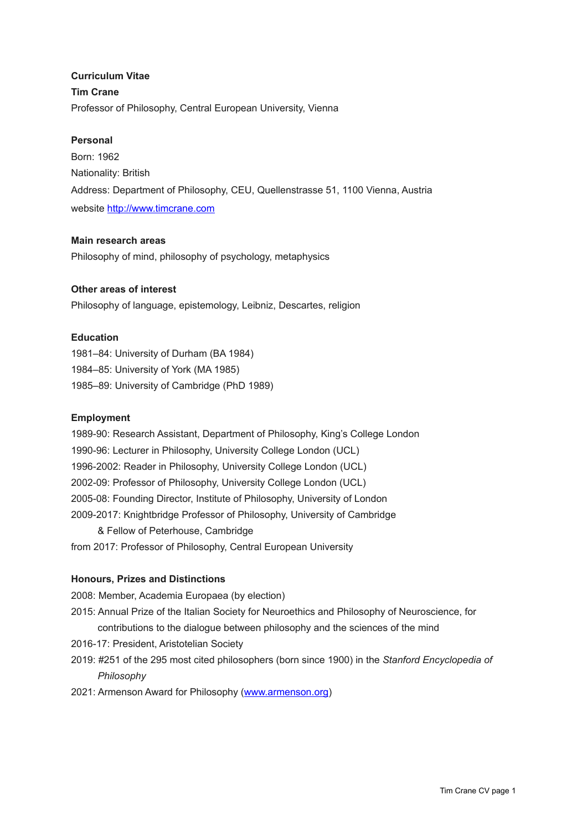**Curriculum Vitae Tim Crane** Professor of Philosophy, Central European University, Vienna

## **Personal**

Born: 1962 Nationality: British Address: Department of Philosophy, CEU, Quellenstrasse 51, 1100 Vienna, Austria website <http://www.timcrane.com>

## **Main research areas**

Philosophy of mind, philosophy of psychology, metaphysics

## **Other areas of interest**

Philosophy of language, epistemology, Leibniz, Descartes, religion

### **Education**

1981–84: University of Durham (BA 1984) 1984–85: University of York (MA 1985) 1985–89: University of Cambridge (PhD 1989)

#### **Employment**

1989-90: Research Assistant, Department of Philosophy, King's College London 1990-96: Lecturer in Philosophy, University College London (UCL) 1996-2002: Reader in Philosophy, University College London (UCL) 2002-09: Professor of Philosophy, University College London (UCL) 2005-08: Founding Director, Institute of Philosophy, University of London 2009-2017: Knightbridge Professor of Philosophy, University of Cambridge & Fellow of Peterhouse, Cambridge from 2017: Professor of Philosophy, Central European University

#### **Honours, Prizes and Distinctions**

2008: Member, Academia Europaea (by election)

- 2015: Annual Prize of the Italian Society for Neuroethics and Philosophy of Neuroscience, for contributions to the dialogue between philosophy and the sciences of the mind
- 2016-17: President, Aristotelian Society
- 2019: #251 of the 295 most cited philosophers (born since 1900) in the *Stanford Encyclopedia of Philosophy*
- 2021: Armenson Award for Philosophy [\(www.armenson.org](http://www.armenson.org))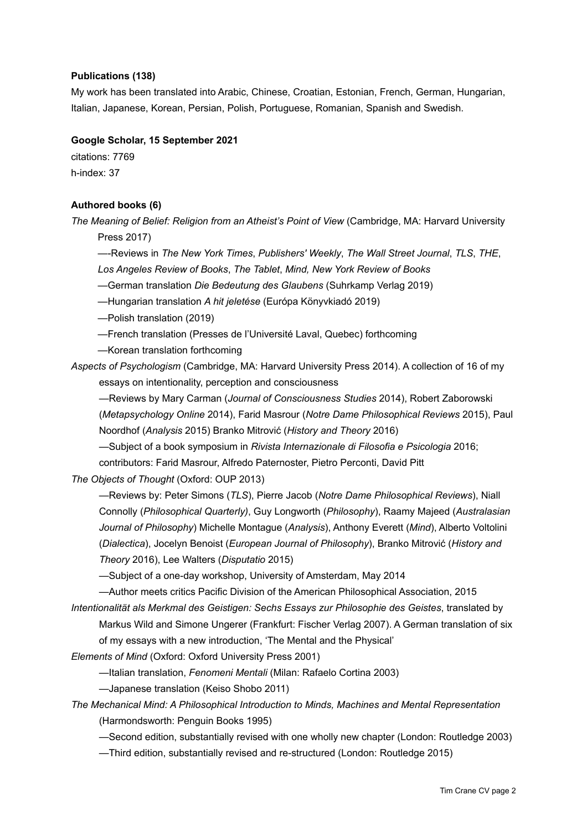## **Publications (138)**

My work has been translated into Arabic, Chinese, Croatian, Estonian, French, German, Hungarian, Italian, Japanese, Korean, Persian, Polish, Portuguese, Romanian, Spanish and Swedish.

## **Google Scholar, 15 September 2021**

citations: 7769 h-index: 37

## **Authored books (6)**

*The Meaning of Belief: Religion from an Atheist's Point of View* (Cambridge, MA: Harvard University Press 2017)

—-Reviews in *The New York Times*, *Publishers' Weekly*, *The Wall Street Journal*, *TLS*, *THE*, *Los Angeles Review of Books*, *The Tablet*, *Mind, New York Review of Books*

*—*German translation *Die Bedeutung des Glaubens* (Suhrkamp Verlag 2019)

*—*Hungarian translation *A hit jeletése* (Európa Könyvkiadó 2019)

—Polish translation (2019)

—French translation (Presses de l'Université Laval, Quebec) forthcoming

—Korean translation forthcoming

*Aspects of Psychologism* (Cambridge, MA: Harvard University Press 2014). A collection of 16 of my essays on intentionality, perception and consciousness

—Reviews by Mary Carman (*Journal of Consciousness Studies* 2014), Robert Zaborowski

(*Metapsychology Online* 2014), Farid Masrour (*Notre Dame Philosophical Reviews* 2015), Paul Noordhof (*Analysis* 2015) Branko Mitrović (*History and Theory* 2016)

—Subject of a book symposium in *Rivista Internazionale di Filosofia e Psicologia* 2016;

contributors: Farid Masrour, Alfredo Paternoster, Pietro Perconti, David Pitt

*The Objects of Thought* (Oxford: OUP 2013)

—Reviews by: Peter Simons (*TLS*), Pierre Jacob (*Notre Dame Philosophical Reviews*), Niall Connolly (*Philosophical Quarterly)*, Guy Longworth (*Philosophy*), Raamy Majeed (*Australasian Journal of Philosophy*) Michelle Montague (*Analysis*), Anthony Everett (*Mind*), Alberto Voltolini (*Dialectica*), Jocelyn Benoist (*European Journal of Philosophy*), Branko Mitrović (*History and Theory* 2016), Lee Walters (*Disputatio* 2015)

—Subject of a one-day workshop, University of Amsterdam, May 2014

—Author meets critics Pacific Division of the American Philosophical Association, 2015

*Intentionalität als Merkmal des Geistigen: Sechs Essays zur Philosophie des Geistes*, translated by Markus Wild and Simone Ungerer (Frankfurt: Fischer Verlag 2007). A German translation of six of my essays with a new introduction, 'The Mental and the Physical'

*Elements of Mind* (Oxford: Oxford University Press 2001)

—Italian translation, *Fenomeni Mentali* (Milan: Rafaelo Cortina 2003)

—Japanese translation (Keiso Shobo 2011)

*The Mechanical Mind: A Philosophical Introduction to Minds, Machines and Mental Representation*  (Harmondsworth: Penguin Books 1995)

—Second edition, substantially revised with one wholly new chapter (London: Routledge 2003)

—Third edition, substantially revised and re-structured (London: Routledge 2015)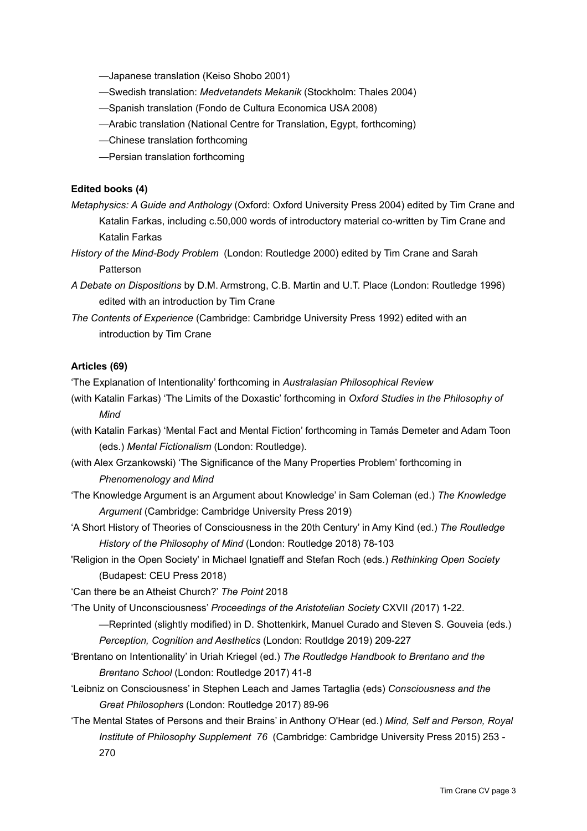- —Japanese translation (Keiso Shobo 2001)
- —Swedish translation: *Medvetandets Mekanik* (Stockholm: Thales 2004)
- —Spanish translation (Fondo de Cultura Economica USA 2008)
- —Arabic translation (National Centre for Translation, Egypt, forthcoming)
- —Chinese translation forthcoming
- —Persian translation forthcoming

## **Edited books (4)**

- *Metaphysics: A Guide and Anthology* (Oxford: Oxford University Press 2004) edited by Tim Crane and Katalin Farkas, including c.50,000 words of introductory material co-written by Tim Crane and Katalin Farkas
- *History of the Mind-Body Problem* (London: Routledge 2000) edited by Tim Crane and Sarah Patterson
- *A Debate on Dispositions* by D.M. Armstrong, C.B. Martin and U.T. Place (London: Routledge 1996) edited with an introduction by Tim Crane
- *The Contents of Experience* (Cambridge: Cambridge University Press 1992) edited with an introduction by Tim Crane

### **Articles (69)**

'The Explanation of Intentionality' forthcoming in *Australasian Philosophical Review*

- (with Katalin Farkas) 'The Limits of the Doxastic' forthcoming in *Oxford Studies in the Philosophy of Mind*
- (with Katalin Farkas) 'Mental Fact and Mental Fiction' forthcoming in Tamás Demeter and Adam Toon (eds.) *Mental Fictionalism* (London: Routledge).
- (with Alex Grzankowski) 'The Significance of the Many Properties Problem' forthcoming in *Phenomenology and Mind*
- 'The Knowledge Argument is an Argument about Knowledge' in Sam Coleman (ed.) *The Knowledge Argument* (Cambridge: Cambridge University Press 2019)
- 'A Short History of Theories of Consciousness in the 20th Century' in Amy Kind (ed.) *The Routledge History of the Philosophy of Mind* (London: Routledge 2018) 78-103
- 'Religion in the Open Society' in Michael Ignatieff and Stefan Roch (eds.) *Rethinking Open Society*  (Budapest: CEU Press 2018)
- 'Can there be an Atheist Church?' *The Point* 2018
- 'The Unity of Unconsciousness' *Proceedings of the Aristotelian Society* CXVII *(*2017) 1-22.
	- —Reprinted (slightly modified) in D. Shottenkirk, Manuel Curado and Steven S. Gouveia (eds.) *Perception, Cognition and Aesthetics* (London: Routldge 2019) 209-227
- 'Brentano on Intentionality' in Uriah Kriegel (ed.) *The Routledge Handbook to Brentano and the Brentano School* (London: Routledge 2017) 41-8
- 'Leibniz on Consciousness' in Stephen Leach and James Tartaglia (eds) *Consciousness and the Great Philosophers* (London: Routledge 2017) 89-96
- 'The Mental States of Persons and their Brains' in Anthony O'Hear (ed.) *Mind, Self and Person, Royal Institute of Philosophy Supplement 76* (Cambridge: Cambridge University Press 2015) 253 - 270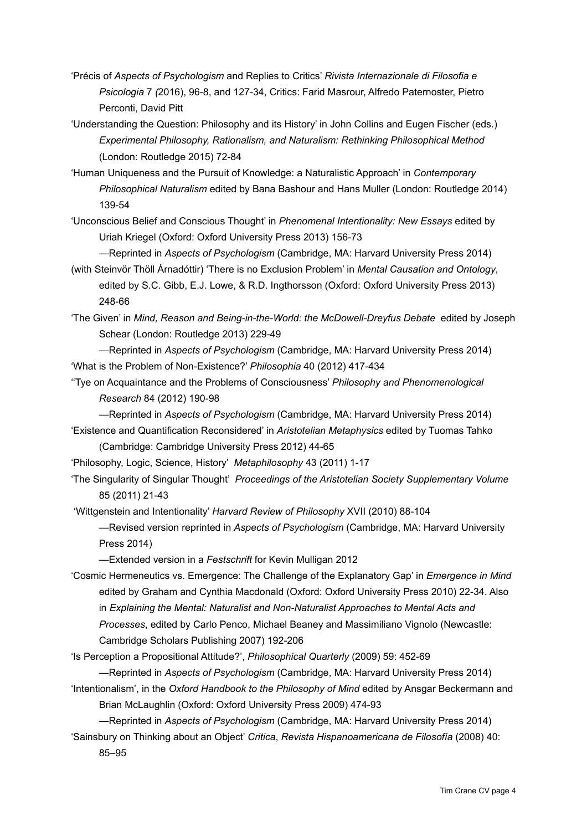- 'Précis of *Aspects of Psychologism* and Replies to Critics' *Rivista Internazionale di Filosofia e Psicologia* 7 *(*2016), 96-8, and 127-34, Critics: Farid Masrour, Alfredo Paternoster, Pietro Perconti, David Pitt
- 'Understanding the Question: Philosophy and its History' in John Collins and Eugen Fischer (eds.) *Experimental Philosophy, Rationalism, and Naturalism: Rethinking Philosophical Method* (London: Routledge 2015) 72-84
- 'Human Uniqueness and the Pursuit of Knowledge: a Naturalistic Approach' in *Contemporary Philosophical Naturalism* edited by Bana Bashour and Hans Muller (London: Routledge 2014) 139-54
- 'Unconscious Belief and Conscious Thought' in *Phenomenal Intentionality: New Essays* edited by Uriah Kriegel (Oxford: Oxford University Press 2013) 156-73

—Reprinted in *Aspects of Psychologism* (Cambridge, MA: Harvard University Press 2014)

(with Steinvör Thöll Árnadóttir) 'There is no Exclusion Problem' in *Mental Causation and Ontology*, edited by S.C. Gibb, E.J. Lowe, & R.D. Ingthorsson (Oxford: Oxford University Press 2013) 248-66

'The Given' in *Mind, Reason and Being-in-the-World: the McDowell-Dreyfus Debate* edited by Joseph Schear (London: Routledge 2013) 229-49

—Reprinted in *Aspects of Psychologism* (Cambridge, MA: Harvard University Press 2014) 'What is the Problem of Non-Existence?' *Philosophia* 40 (2012) 417-434

''Tye on Acquaintance and the Problems of Consciousness' *Philosophy and Phenomenological Research* 84 (2012) 190-98

—Reprinted in *Aspects of Psychologism* (Cambridge, MA: Harvard University Press 2014) 'Existence and Quantification Reconsidered' in *Aristotelian Metaphysics* edited by Tuomas Tahko (Cambridge: Cambridge University Press 2012) 44-65

'Philosophy, Logic, Science, History' *Metaphilosophy* 43 (2011) 1-17

'The Singularity of Singular Thought' *Proceedings of the Aristotelian Society Supplementary Volume*  85 (2011) 21-43

'Wittgenstein and Intentionality' *Harvard Review of Philosophy* XVII (2010) 88-104

—Revised version reprinted in *Aspects of Psychologism* (Cambridge, MA: Harvard University Press 2014)

—Extended version in a *Festschrift* for Kevin Mulligan 2012

'Cosmic Hermeneutics vs. Emergence: The Challenge of the Explanatory Gap' in *Emergence in Mind* edited by Graham and Cynthia Macdonald (Oxford: Oxford University Press 2010) 22-34. Also in *Explaining the Mental: Naturalist and Non-Naturalist Approaches to Mental Acts and Processes*, edited by Carlo Penco, Michael Beaney and Massimiliano Vignolo (Newcastle: Cambridge Scholars Publishing 2007) 192-206

'Is Perception a Propositional Attitude?', *Philosophical Quarterly* (2009) 59: 452-69

—Reprinted in *Aspects of Psychologism* (Cambridge, MA: Harvard University Press 2014) 'Intentionalism', in the *Oxford Handbook to the Philosophy of Mind* edited by Ansgar Beckermann and

Brian McLaughlin (Oxford: Oxford University Press 2009) 474-93

—Reprinted in *Aspects of Psychologism* (Cambridge, MA: Harvard University Press 2014)

'Sainsbury on Thinking about an Object' *Critica*, *Revista Hispanoamericana de Filosofía* (2008) 40: 85–95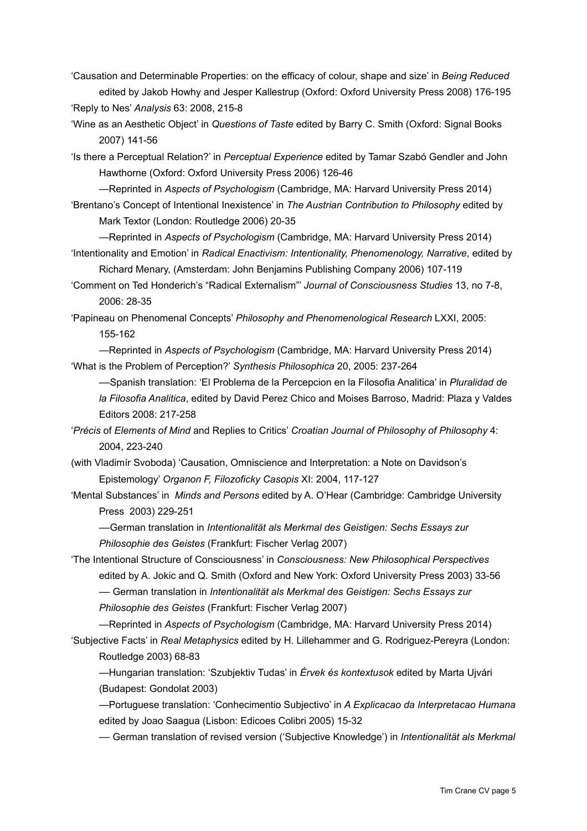'Causation and Determinable Properties: on the efficacy of colour, shape and size' in *Being Reduced* edited by Jakob Howhy and Jesper Kallestrup (Oxford: Oxford University Press 2008) 176-195 'Reply to Nes' *Analysis* 63: 2008, 215-8

'Wine as an Aesthetic Object' in *Questions of Taste* edited by Barry C. Smith (Oxford: Signal Books 2007) 141-56

'Is there a Perceptual Relation?' in *Perceptual Experience* edited by Tamar Szabó Gendler and John Hawthorne (Oxford: Oxford University Press 2006) 126-46

—Reprinted in *Aspects of Psychologism* (Cambridge, MA: Harvard University Press 2014) 'Brentano's Concept of Intentional Inexistence' in *The Austrian Contribution to Philosophy* edited by

Mark Textor (London: Routledge 2006) 20-35

—Reprinted in *Aspects of Psychologism* (Cambridge, MA: Harvard University Press 2014) 'Intentionality and Emotion' in *Radical Enactivism: Intentionality, Phenomenology, Narrative*, edited by

Richard Menary, (Amsterdam: John Benjamins Publishing Company 2006) 107-119

'Comment on Ted Honderich's "Radical Externalism"' *Journal of Consciousness Studies* 13, no 7-8, 2006: 28-35

'Papineau on Phenomenal Concepts' *Philosophy and Phenomenological Research* LXXI, 2005: 155-162

—Reprinted in *Aspects of Psychologism* (Cambridge, MA: Harvard University Press 2014) 'What is the Problem of Perception?' *Synthesis Philosophica* 20, 2005: 237-264

––Spanish translation: 'El Problema de la Percepcion en la Filosofia Analitica' in *Pluralidad de la Filosofia Analitica*, edited by David Perez Chico and Moises Barroso, Madrid: Plaza y Valdes Editors 2008: 217-258

'*Précis* of *Elements of Mind* and Replies to Critics' *Croatian Journal of Philosophy of Philosophy* 4: 2004, 223-240

(with Vladimír Svoboda) 'Causation, Omniscience and Interpretation: a Note on Davidson's Epistemology' *Organon F, Filozoficky Casopis* XI: 2004, 117-127

'Mental Substances' in *Minds and Persons* edited by A. O'Hear (Cambridge: Cambridge University Press 2003) 229-251

––German translation in *Intentionalität als Merkmal des Geistigen: Sechs Essays zur Philosophie des Geistes* (Frankfurt: Fischer Verlag 2007)

'The Intentional Structure of Consciousness' in *Consciousness: New Philosophical Perspectives* edited by A. Jokic and Q. Smith (Oxford and New York: Oxford University Press 2003) 33-56

–– German translation in *Intentionalität als Merkmal des Geistigen: Sechs Essays zur Philosophie des Geistes* (Frankfurt: Fischer Verlag 2007)

—Reprinted in *Aspects of Psychologism* (Cambridge, MA: Harvard University Press 2014) 'Subjective Facts' in *Real Metaphysics* edited by H. Lillehammer and G. Rodriguez-Pereyra (London: Routledge 2003) 68-83

—Hungarian translation: 'Szubjektiv Tudas' in *Érvek és kontextusok* edited by Marta Ujvári (Budapest: Gondolat 2003)

—Portuguese translation: 'Conhecimentio Subjectivo' in *A Explicacao da Interpretacao Humana* edited by Joao Saagua (Lisbon: Edicoes Colibri 2005) 15-32

–– German translation of revised version ('Subjective Knowledge') in *Intentionalität als Merkmal*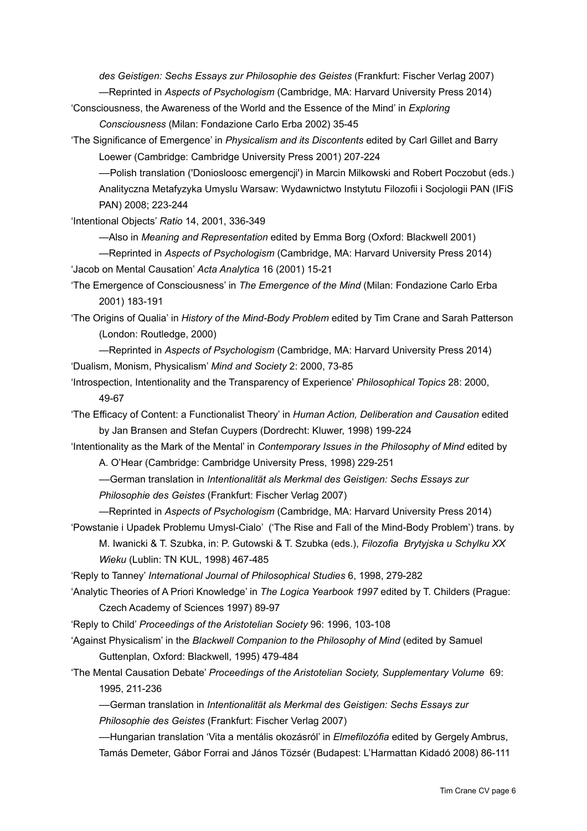*des Geistigen: Sechs Essays zur Philosophie des Geistes* (Frankfurt: Fischer Verlag 2007)

—Reprinted in *Aspects of Psychologism* (Cambridge, MA: Harvard University Press 2014)

'Consciousness, the Awareness of the World and the Essence of the Mind' in *Exploring Consciousness* (Milan: Fondazione Carlo Erba 2002) 35-45

'The Significance of Emergence' in *Physicalism and its Discontents* edited by Carl Gillet and Barry Loewer (Cambridge: Cambridge University Press 2001) 207-224

––Polish translation ('Doniosloosc emergencji') in Marcin Milkowski and Robert Poczobut (eds.) Analityczna Metafyzyka Umyslu Warsaw: Wydawnictwo Instytutu Filozofii i Socjologii PAN (IFiS PAN) 2008; 223-244

'Intentional Objects' *Ratio* 14, 2001, 336-349

—Also in *Meaning and Representation* edited by Emma Borg (Oxford: Blackwell 2001)

—Reprinted in *Aspects of Psychologism* (Cambridge, MA: Harvard University Press 2014) 'Jacob on Mental Causation' *Acta Analytica* 16 (2001) 15-21

'The Emergence of Consciousness' in *The Emergence of the Mind* (Milan: Fondazione Carlo Erba 2001) 183-191

'The Origins of Qualia' in *History of the Mind-Body Problem* edited by Tim Crane and Sarah Patterson (London: Routledge, 2000)

—Reprinted in *Aspects of Psychologism* (Cambridge, MA: Harvard University Press 2014) 'Dualism, Monism, Physicalism' *Mind and Society* 2: 2000, 73-85

'Introspection, Intentionality and the Transparency of Experience' *Philosophical Topics* 28: 2000, 49-67

'The Efficacy of Content: a Functionalist Theory' in *Human Action, Deliberation and Causation* edited by Jan Bransen and Stefan Cuypers (Dordrecht: Kluwer, 1998) 199-224

'Intentionality as the Mark of the Mental' in *Contemporary Issues in the Philosophy of Mind* edited by A. O'Hear (Cambridge: Cambridge University Press, 1998) 229-251

––German translation in *Intentionalität als Merkmal des Geistigen: Sechs Essays zur* 

*Philosophie des Geistes* (Frankfurt: Fischer Verlag 2007)

—Reprinted in *Aspects of Psychologism* (Cambridge, MA: Harvard University Press 2014) 'Powstanie i Upadek Problemu Umysl-Cialo' ('The Rise and Fall of the Mind-Body Problem') trans. by

M. Iwanicki & T. Szubka, in: P. Gutowski & T. Szubka (eds.), *Filozofia Brytyjska u Schylku XX Wieku* (Lublin: TN KUL, 1998) 467-485

'Reply to Tanney' *International Journal of Philosophical Studies* 6, 1998, 279-282

'Analytic Theories of A Priori Knowledge' in *The Logica Yearbook 1997* edited by T. Childers (Prague: Czech Academy of Sciences 1997) 89-97

'Reply to Child' *Proceedings of the Aristotelian Society* 96: 1996, 103-108

'Against Physicalism' in the *Blackwell Companion to the Philosophy of Mind* (edited by Samuel Guttenplan, Oxford: Blackwell, 1995) 479-484

'The Mental Causation Debate' *Proceedings of the Aristotelian Society, Supplementary Volume* 69: 1995, 211-236

––German translation in *Intentionalität als Merkmal des Geistigen: Sechs Essays zur* 

*Philosophie des Geistes* (Frankfurt: Fischer Verlag 2007)

––Hungarian translation 'Vita a mentális okozásról' in *Elmefilozófia* edited by Gergely Ambrus, Tamás Demeter, Gábor Forrai and János Tözsér (Budapest: L'Harmattan Kidadó 2008) 86-111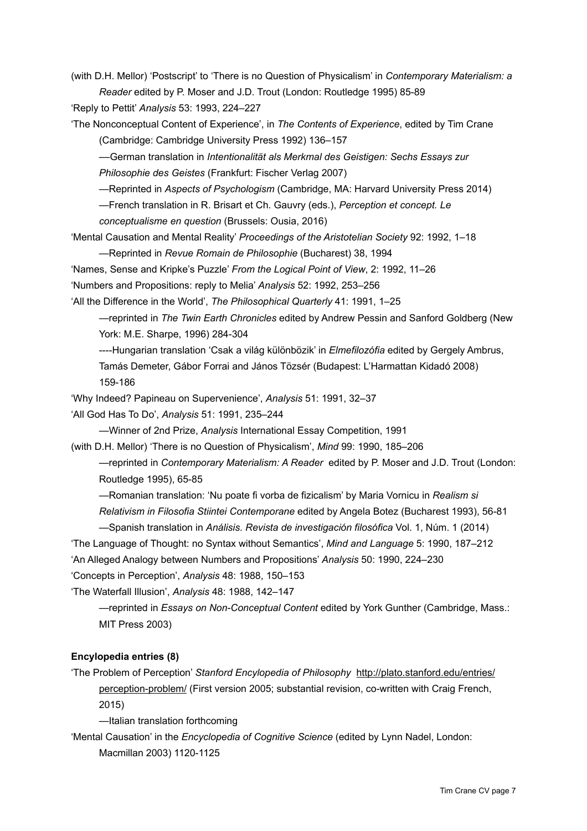(with D.H. Mellor) 'Postscript' to 'There is no Question of Physicalism' in *Contemporary Materialism: a Reader* edited by P. Moser and J.D. Trout (London: Routledge 1995) 85-89

'Reply to Pettit' *Analysis* 53: 1993, 224–227

'The Nonconceptual Content of Experience', in *The Contents of Experience*, edited by Tim Crane (Cambridge: Cambridge University Press 1992) 136–157

––German translation in *Intentionalität als Merkmal des Geistigen: Sechs Essays zur* 

*Philosophie des Geistes* (Frankfurt: Fischer Verlag 2007)

—Reprinted in *Aspects of Psychologism* (Cambridge, MA: Harvard University Press 2014)

—French translation in R. Brisart et Ch. Gauvry (eds.), *Perception et concept. Le* 

*conceptualisme en question* (Brussels: Ousia, 2016)

'Mental Causation and Mental Reality' *Proceedings of the Aristotelian Society* 92: 1992, 1–18

—Reprinted in *Revue Romain de Philosophie* (Bucharest) 38, 1994

'Names, Sense and Kripke's Puzzle' *From the Logical Point of View*, 2: 1992, 11–26

'Numbers and Propositions: reply to Melia' *Analysis* 52: 1992, 253–256

'All the Difference in the World', *The Philosophical Quarterly* 41: 1991, 1–25

—reprinted in *The Twin Earth Chronicles* edited by Andrew Pessin and Sanford Goldberg (New York: M.E. Sharpe, 1996) 284-304

----Hungarian translation 'Csak a világ különbözik' in *Elmefilozófia* edited by Gergely Ambrus,

Tamás Demeter, Gábor Forrai and János Tözsér (Budapest: L'Harmattan Kidadó 2008) 159-186

'Why Indeed? Papineau on Supervenience', *Analysis* 51: 1991, 32–37

'All God Has To Do', *Analysis* 51: 1991, 235–244

—Winner of 2nd Prize, *Analysis* International Essay Competition, 1991

(with D.H. Mellor) 'There is no Question of Physicalism', *Mind* 99: 1990, 185–206

—reprinted in *Contemporary Materialism: A Reader* edited by P. Moser and J.D. Trout (London: Routledge 1995), 65-85

—Romanian translation: 'Nu poate fi vorba de fizicalism' by Maria Vornicu in *Realism si* 

*Relativism in Filosofia Stiintei Contemporane* edited by Angela Botez (Bucharest 1993), 56-81

—Spanish translation in *Análisis. Revista de investigación filosófica* Vol. 1, Núm. 1 (2014)

'The Language of Thought: no Syntax without Semantics', *Mind and Language* 5: 1990, 187–212

'An Alleged Analogy between Numbers and Propositions' *Analysis* 50: 1990, 224–230

'Concepts in Perception', *Analysis* 48: 1988, 150–153

'The Waterfall Illusion', *Analysis* 48: 1988, 142–147

—reprinted in *Essays on Non-Conceptual Content* edited by York Gunther (Cambridge, Mass.: MIT Press 2003)

## **Encylopedia entries (8)**

'The Problem of Perception' *Stanford Encylopedia of Philosophy* [http://plato.stanford.edu/entries/](http://plato.stanford.edu/entries/perception-problem/) [perception-problem/](http://plato.stanford.edu/entries/perception-problem/) (First version 2005; substantial revision, co-written with Craig French,

2015)

—Italian translation forthcoming

'Mental Causation' in the *Encyclopedia of Cognitive Science* (edited by Lynn Nadel, London: Macmillan 2003) 1120-1125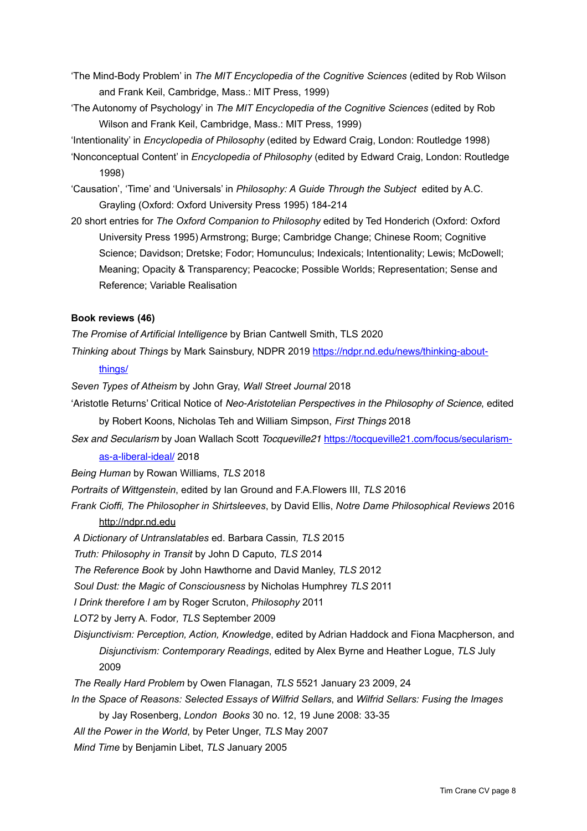- 'The Mind-Body Problem' in *The MIT Encyclopedia of the Cognitive Sciences* (edited by Rob Wilson and Frank Keil, Cambridge, Mass.: MIT Press, 1999)
- 'The Autonomy of Psychology' in *The MIT Encyclopedia of the Cognitive Sciences* (edited by Rob Wilson and Frank Keil, Cambridge, Mass.: MIT Press, 1999)
- 'Intentionality' in *Encyclopedia of Philosophy* (edited by Edward Craig, London: Routledge 1998)
- 'Nonconceptual Content' in *Encyclopedia of Philosophy* (edited by Edward Craig, London: Routledge 1998)
- 'Causation', 'Time' and 'Universals' in *Philosophy: A Guide Through the Subject* edited by A.C. Grayling (Oxford: Oxford University Press 1995) 184-214
- 20 short entries for *The Oxford Companion to Philosophy* edited by Ted Honderich (Oxford: Oxford University Press 1995) Armstrong; Burge; Cambridge Change; Chinese Room; Cognitive Science; Davidson; Dretske; Fodor; Homunculus; Indexicals; Intentionality; Lewis; McDowell; Meaning; Opacity & Transparency; Peacocke; Possible Worlds; Representation; Sense and Reference; Variable Realisation

## **Book reviews (46)**

*The Promise of Artificial Intelligence* by Brian Cantwell Smith, TLS 2020

*Thinking about Things* by Mark Sainsbury, NDPR 2019 [https://ndpr.nd.edu/news/thinking-about-](https://ndpr.nd.edu/news/thinking-about-things/)

#### [things/](https://ndpr.nd.edu/news/thinking-about-things/)

- *Seven Types of Atheism* by John Gray, *Wall Street Journal* 2018
- 'Aristotle Returns' Critical Notice of *Neo-Aristotelian Perspectives in the Philosophy of Science*, edited by Robert Koons, Nicholas Teh and William Simpson, *First Things* 2018
- *Sex and Secularism* by Joan Wallach Scott *Tocqueville21* [https://tocqueville21.com/focus/secularism](https://tocqueville21.com/focus/secularism-as-a-liberal-ideal/)[as-a-liberal-ideal/](https://tocqueville21.com/focus/secularism-as-a-liberal-ideal/) 2018
- *Being Human* by Rowan Williams, *TLS* 2018
- *Portraits of Wittgenstein*, edited by Ian Ground and F.A.Flowers III, *TLS* 2016
- *Frank Cioffi, The Philosopher in Shirtsleeves*, by David Ellis, *Notre Dame Philosophical Reviews* 2016 <http://ndpr.nd.edu>
- *A Dictionary of Untranslatables* ed. Barbara Cassin*, TLS* 2015
- *Truth: Philosophy in Transit* by John D Caputo, *TLS* 2014
- *The Reference Book* by John Hawthorne and David Manley, *TLS* 2012
- *Soul Dust: the Magic of Consciousness* by Nicholas Humphrey *TLS* 2011
- *I Drink therefore I am* by Roger Scruton, *Philosophy* 2011
- *LOT2* by Jerry A. Fodor*, TLS* September 2009
- *Disjunctivism: Perception, Action, Knowledge*, edited by Adrian Haddock and Fiona Macpherson, and *Disjunctivism: Contemporary Readings*, edited by Alex Byrne and Heather Logue, *TLS* July 2009
- *The Really Hard Problem* by Owen Flanagan, *TLS* 5521 January 23 2009, 24
- *In the Space of Reasons: Selected Essays of Wilfrid Sellars*, and *Wilfrid Sellars: Fusing the Images* by Jay Rosenberg, *London Books* 30 no. 12, 19 June 2008: 33-35
- *All the Power in the World*, by Peter Unger, *TLS* May 2007
- *Mind Time* by Benjamin Libet, *TLS* January 2005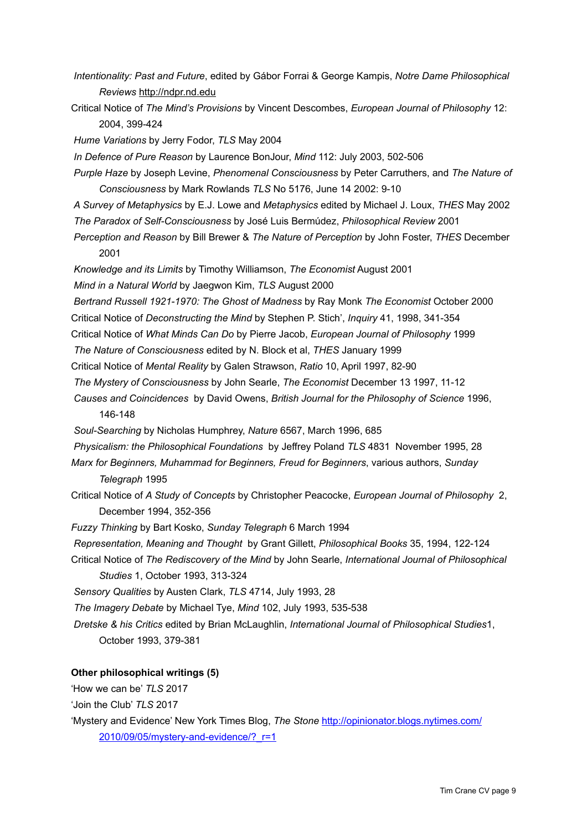- *Intentionality: Past and Future*, edited by Gábor Forrai & George Kampis, *Notre Dame Philosophical Reviews* <http://ndpr.nd.edu>
- Critical Notice of *The Mind's Provisions* by Vincent Descombes, *European Journal of Philosophy* 12: 2004, 399-424
- *Hume Variations* by Jerry Fodor, *TLS* May 2004

*In Defence of Pure Reason* by Laurence BonJour, *Mind* 112: July 2003, 502-506

- *Purple Haze* by Joseph Levine, *Phenomenal Consciousness* by Peter Carruthers, and *The Nature of Consciousness* by Mark Rowlands *TLS* No 5176, June 14 2002: 9-10
- *A Survey of Metaphysics* by E.J. Lowe and *Metaphysics* edited by Michael J. Loux, *THES* May 2002 *The Paradox of Self-Consciousness* by José Luis Bermúdez, *Philosophical Review* 2001
- *Perception and Reason* by Bill Brewer & *The Nature of Perception* by John Foster, *THES* December 2001

*Knowledge and its Limits* by Timothy Williamson, *The Economist* August 2001

*Mind in a Natural World* by Jaegwon Kim, *TLS* August 2000

- *Bertrand Russell 1921-1970: The Ghost of Madness* by Ray Monk *The Economist* October 2000
- Critical Notice of *Deconstructing the Mind* by Stephen P. Stich', *Inquiry* 41, 1998, 341-354
- Critical Notice of *What Minds Can Do* by Pierre Jacob, *European Journal of Philosophy* 1999
- *The Nature of Consciousness* edited by N. Block et al, *THES* January 1999
- Critical Notice of *Mental Reality* by Galen Strawson, *Ratio* 10, April 1997, 82-90
- *The Mystery of Consciousness* by John Searle, *The Economist* December 13 1997, 11-12
- *Causes and Coincidences* by David Owens, *British Journal for the Philosophy of Science* 1996, 146-148
- *Soul-Searching* by Nicholas Humphrey, *Nature* 6567, March 1996, 685
- *Physicalism: the Philosophical Foundations* by Jeffrey Poland *TLS* 4831 November 1995, 28
- *Marx for Beginners, Muhammad for Beginners, Freud for Beginners*, various authors, *Sunday Telegraph* 1995
- Critical Notice of *A Study of Concepts* by Christopher Peacocke, *European Journal of Philosophy* 2, December 1994, 352-356
- *Fuzzy Thinking* by Bart Kosko, *Sunday Telegraph* 6 March 1994
- *Representation, Meaning and Thought* by Grant Gillett, *Philosophical Books* 35, 1994, 122-124
- Critical Notice of *The Rediscovery of the Mind* by John Searle, *International Journal of Philosophical Studies* 1, October 1993, 313-324

*Sensory Qualities* by Austen Clark, *TLS* 4714, July 1993, 28

*The Imagery Debate* by Michael Tye, *Mind* 102, July 1993, 535-538

*Dretske & his Critics* edited by Brian McLaughlin, *International Journal of Philosophical Studies*1, October 1993, 379-381

## **Other philosophical writings (5)**

'How we can be' *TLS* 2017

'Join the Club' *TLS* 2017

'Mystery and Evidence' New York Times Blog, *The Stone* [http://opinionator.blogs.nytimes.com/](http://opinionator.blogs.nytimes.com/2010/09/05/mystery-and-evidence/?_r=1) [2010/09/05/mystery-and-evidence/?\\_r=1](http://opinionator.blogs.nytimes.com/2010/09/05/mystery-and-evidence/?_r=1)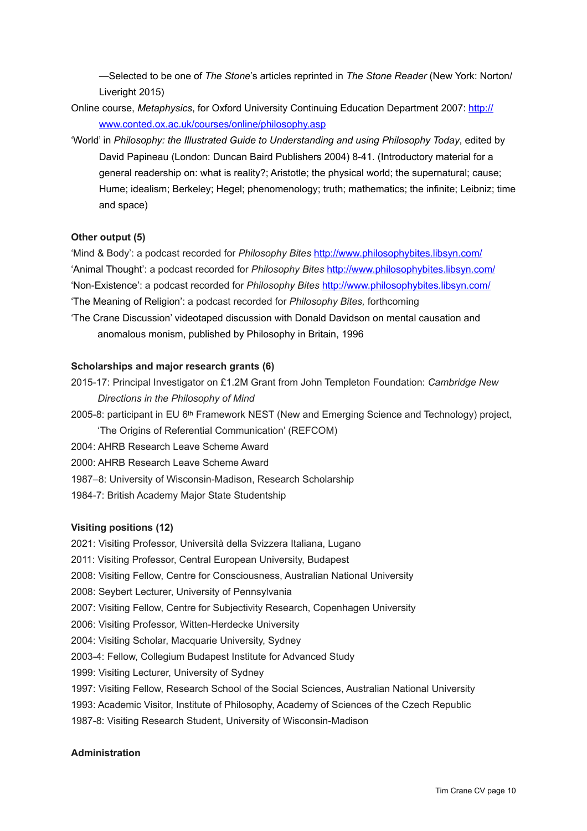—Selected to be one of *The Stone*'s articles reprinted in *The Stone Reader* (New York: Norton/ Liveright 2015)

- Online course, *Metaphysics*, for Oxford University Continuing Education Department 2007: [http://](http://www.conted.ox.ac.uk/courses/online/philosophy.asp) [www.conted.ox.ac.uk/courses/online/philosophy.asp](http://www.conted.ox.ac.uk/courses/online/philosophy.asp)
- 'World' in *Philosophy: the Illustrated Guide to Understanding and using Philosophy Today*, edited by David Papineau (London: Duncan Baird Publishers 2004) 8-41. (Introductory material for a general readership on: what is reality?; Aristotle; the physical world; the supernatural; cause; Hume; idealism; Berkeley; Hegel; phenomenology; truth; mathematics; the infinite; Leibniz; time and space)

## **Other output (5)**

'Mind & Body': a podcast recorded for *Philosophy Bites* <http://www.philosophybites.libsyn.com/> 'Animal Thought': a podcast recorded for *Philosophy Bites* <http://www.philosophybites.libsyn.com/> 'Non-Existence': a podcast recorded for *Philosophy Bites* <http://www.philosophybites.libsyn.com/> 'The Meaning of Religion': a podcast recorded for *Philosophy Bites,* forthcoming

- 'The Crane Discussion' videotaped discussion with Donald Davidson on mental causation and
	- anomalous monism, published by Philosophy in Britain, 1996

## **Scholarships and major research grants (6)**

- 2015-17: Principal Investigator on £1.2M Grant from John Templeton Foundation: *Cambridge New Directions in the Philosophy of Mind*
- 2005-8: participant in EU 6<sup>th</sup> Framework NEST (New and Emerging Science and Technology) project, 'The Origins of Referential Communication' (REFCOM)
- 2004: AHRB Research Leave Scheme Award
- 2000: AHRB Research Leave Scheme Award
- 1987–8: University of Wisconsin-Madison, Research Scholarship
- 1984-7: British Academy Major State Studentship

## **Visiting positions (12)**

2021: Visiting Professor, Università della Svizzera Italiana, Lugano 2011: Visiting Professor, Central European University, Budapest 2008: Visiting Fellow, Centre for Consciousness, Australian National University 2008: Seybert Lecturer, University of Pennsylvania 2007: Visiting Fellow, Centre for Subjectivity Research, Copenhagen University 2006: Visiting Professor, Witten-Herdecke University 2004: Visiting Scholar, Macquarie University, Sydney 2003-4: Fellow, Collegium Budapest Institute for Advanced Study 1999: Visiting Lecturer, University of Sydney 1997: Visiting Fellow, Research School of the Social Sciences, Australian National University 1993: Academic Visitor, Institute of Philosophy, Academy of Sciences of the Czech Republic 1987-8: Visiting Research Student, University of Wisconsin-Madison

## **Administration**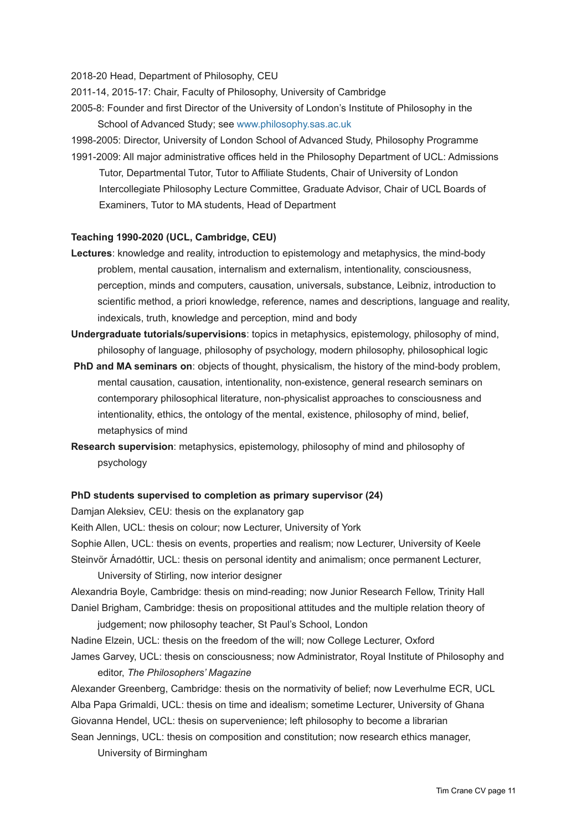2018-20 Head, Department of Philosophy, CEU

- 2011-14, 2015-17: Chair, Faculty of Philosophy, University of Cambridge
- 2005-8: Founder and first Director of the University of London's Institute of Philosophy in the School of Advanced Study; see [www.philosophy.sas.ac.uk](http://www.philosophy.sas.ac.uk/)

1998-2005: Director, University of London School of Advanced Study, [Philosophy Programme](http://www.philosophy.sas.ac.uk/?q=node/7)

1991-2009: All major administrative offices held in the Philosophy Department of UCL: Admissions Tutor, Departmental Tutor, Tutor to Affiliate Students, Chair of University of London Intercollegiate Philosophy Lecture Committee, Graduate Advisor, Chair of UCL Boards of Examiners, Tutor to MA students, Head of Department

#### **Teaching 1990-2020 (UCL, Cambridge, CEU)**

- **Lectures**: knowledge and reality, introduction to epistemology and metaphysics, the mind-body problem, mental causation, internalism and externalism, intentionality, consciousness, perception, minds and computers, causation, universals, substance, Leibniz, introduction to scientific method, a priori knowledge, reference, names and descriptions, language and reality, indexicals, truth, knowledge and perception, mind and body
- **Undergraduate tutorials/supervisions**: topics in metaphysics, epistemology, philosophy of mind, philosophy of language, philosophy of psychology, modern philosophy, philosophical logic
- **PhD and MA seminars on**: objects of thought, physicalism, the history of the mind-body problem, mental causation, causation, intentionality, non-existence, general research seminars on contemporary philosophical literature, non-physicalist approaches to consciousness and intentionality, ethics, the ontology of the mental, existence, philosophy of mind, belief, metaphysics of mind
- **Research supervision**: metaphysics, epistemology, philosophy of mind and philosophy of psychology

#### **PhD students supervised to completion as primary supervisor (24)**

Damjan Aleksiev, CEU: thesis on the explanatory gap

Keith Allen, UCL: thesis on colour; now Lecturer, University of York Sophie Allen, UCL: thesis on events, properties and realism; now Lecturer, University of Keele Steinvör Árnadóttir, UCL: thesis on personal identity and animalism; once permanent Lecturer,

University of Stirling, now interior designer

Alexandria Boyle, Cambridge: thesis on mind-reading; now Junior Research Fellow, Trinity Hall Daniel Brigham, Cambridge: thesis on propositional attitudes and the multiple relation theory of

judgement; now philosophy teacher, St Paul's School, London Nadine Elzein, UCL: thesis on the freedom of the will; now College Lecturer, Oxford James Garvey, UCL: thesis on consciousness; now Administrator, Royal Institute of Philosophy and

#### editor, *The Philosophers' Magazine*

Alexander Greenberg, Cambridge: thesis on the normativity of belief; now Leverhulme ECR, UCL Alba Papa Grimaldi, UCL: thesis on time and idealism; sometime Lecturer, University of Ghana Giovanna Hendel, UCL: thesis on supervenience; left philosophy to become a librarian Sean Jennings, UCL: thesis on composition and constitution; now research ethics manager,

University of Birmingham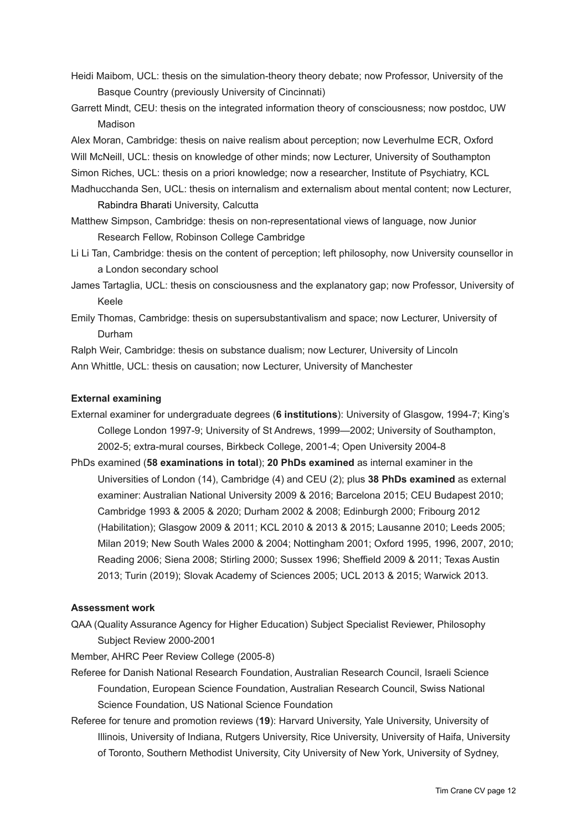- Heidi Maibom, UCL: thesis on the simulation-theory theory debate; now Professor, University of the Basque Country (previously University of Cincinnati)
- Garrett Mindt, CEU: thesis on the integrated information theory of consciousness; now postdoc, UW Madison

Alex Moran, Cambridge: thesis on naive realism about perception; now Leverhulme ECR, Oxford Will McNeill, UCL: thesis on knowledge of other minds; now Lecturer, University of Southampton Simon Riches, UCL: thesis on a priori knowledge; now a researcher, Institute of Psychiatry, KCL

- Madhucchanda Sen, UCL: thesis on internalism and externalism about mental content; now Lecturer, Rabindra Bharati University, Calcutta
- Matthew Simpson, Cambridge: thesis on non-representational views of language, now Junior Research Fellow, Robinson College Cambridge
- Li Li Tan, Cambridge: thesis on the content of perception; left philosophy, now University counsellor in a London secondary school
- James Tartaglia, UCL: thesis on consciousness and the explanatory gap; now Professor, University of Keele
- Emily Thomas, Cambridge: thesis on supersubstantivalism and space; now Lecturer, University of Durham

Ralph Weir, Cambridge: thesis on substance dualism; now Lecturer, University of Lincoln Ann Whittle, UCL: thesis on causation; now Lecturer, University of Manchester

## **External examining**

- External examiner for undergraduate degrees (**6 institutions**): University of Glasgow, 1994-7; King's College London 1997-9; University of St Andrews, 1999—2002; University of Southampton, 2002-5; extra-mural courses, Birkbeck College, 2001-4; Open University 2004-8
- PhDs examined (**58 examinations in total**); **20 PhDs examined** as internal examiner in the Universities of London (14), Cambridge (4) and CEU (2); plus **38 PhDs examined** as external examiner: Australian National University 2009 & 2016; Barcelona 2015; CEU Budapest 2010; Cambridge 1993 & 2005 & 2020; Durham 2002 & 2008; Edinburgh 2000; Fribourg 2012 (Habilitation); Glasgow 2009 & 2011; KCL 2010 & 2013 & 2015; Lausanne 2010; Leeds 2005; Milan 2019; New South Wales 2000 & 2004; Nottingham 2001; Oxford 1995, 1996, 2007, 2010; Reading 2006; Siena 2008; Stirling 2000; Sussex 1996; Sheffield 2009 & 2011; Texas Austin 2013; Turin (2019); Slovak Academy of Sciences 2005; UCL 2013 & 2015; Warwick 2013.

## **Assessment work**

QAA (Quality Assurance Agency for Higher Education) Subject Specialist Reviewer, Philosophy Subject Review 2000-2001

Member, AHRC Peer Review College (2005-8)

- Referee for Danish National Research Foundation, Australian Research Council, Israeli Science Foundation, European Science Foundation, Australian Research Council, Swiss National Science Foundation, US National Science Foundation
- Referee for tenure and promotion reviews (**19**): Harvard University, Yale University, University of Illinois, University of Indiana, Rutgers University, Rice University, University of Haifa, University of Toronto, Southern Methodist University, City University of New York, University of Sydney,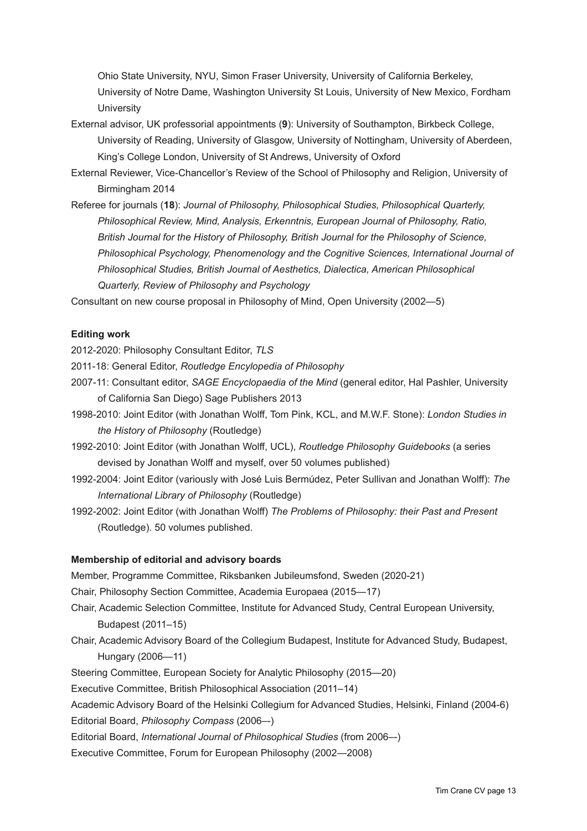Ohio State University, NYU, Simon Fraser University, University of California Berkeley, University of Notre Dame, Washington University St Louis, University of New Mexico, Fordham **University** 

- External advisor, UK professorial appointments (**9**): University of Southampton, Birkbeck College, University of Reading, University of Glasgow, University of Nottingham, University of Aberdeen, King's College London, University of St Andrews, University of Oxford
- External Reviewer, Vice-Chancellor's Review of the School of Philosophy and Religion, University of Birmingham 2014
- Referee for journals (**18**): *Journal of Philosophy, Philosophical Studies, Philosophical Quarterly, Philosophical Review, Mind, Analysis, Erkenntnis, European Journal of Philosophy, Ratio, British Journal for the History of Philosophy, British Journal for the Philosophy of Science, Philosophical Psychology, Phenomenology and the Cognitive Sciences, International Journal of Philosophical Studies, British Journal of Aesthetics, Dialectica, American Philosophical Quarterly, Review of Philosophy and Psychology*

Consultant on new course proposal in Philosophy of Mind, Open University (2002—5)

### **Editing work**

2012-2020: Philosophy Consultant Editor, *[TLS](http://www.the-tls.co.uk/tls/)*

- 2011-18: General Editor, *[Routledge Encylopedia of Philosophy](http://www.rep.routledge.com/)*
- 2007-11: Consultant editor, *SAGE Encyclopaedia of the Mind* (general editor, Hal Pashler, University of California San Diego) Sage Publishers 2013
- 1998-2010: Joint Editor (with Jonathan Wolff, Tom Pink, KCL, and M.W.F. Stone): *London Studies in the History of Philosophy* (Routledge)
- 1992-2010: Joint Editor (with Jonathan Wolff, UCL), *Routledge Philosophy Guidebooks* (a series devised by Jonathan Wolff and myself, over 50 volumes published)
- 1992-2004: Joint Editor (variously with José Luis Bermúdez, Peter Sullivan and Jonathan Wolff): *The International Library of Philosophy* (Routledge)
- 1992-2002: Joint Editor (with Jonathan Wolff) *The Problems of Philosophy: their Past and Present* (Routledge). 50 volumes published.

## **Membership of editorial and advisory boards**

Member, Programme Committee, Riksbanken Jubileumsfond, Sweden (2020-21) Chair, Philosophy Section Committee, Academia Europaea (2015—17) Chair, Academic Selection Committee, Institute for Advanced Study, Central European University, Budapest (2011–15) Chair, Academic Advisory Board of the Collegium Budapest, Institute for Advanced Study, Budapest, Hungary (2006—11) Steering Committee, European Society for Analytic Philosophy (2015—20) Executive Committee, British Philosophical Association (2011–14) Academic Advisory Board of the Helsinki Collegium for Advanced Studies, Helsinki, Finland (2004-6) Editorial Board, *Philosophy Compass* (2006–-) Editorial Board, *International Journal of Philosophical Studies* (from 2006–-) Executive Committee, Forum for European Philosophy (2002—2008)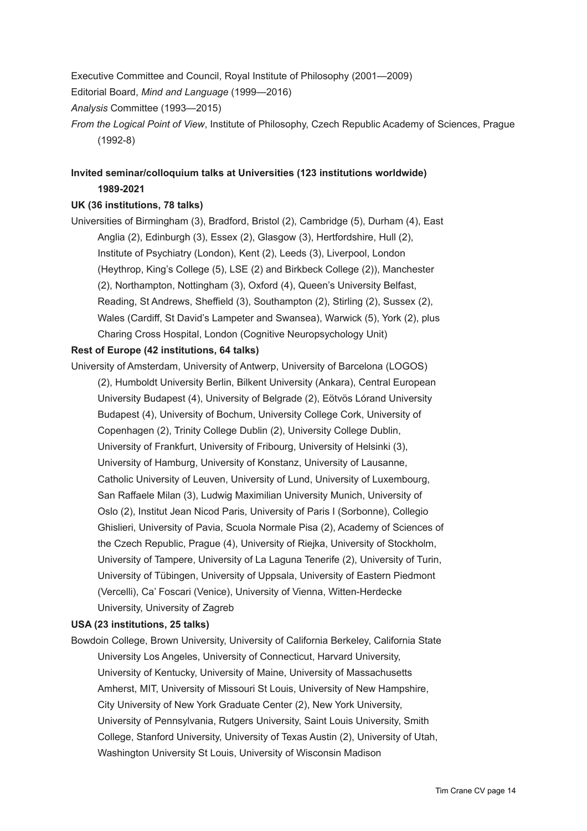Executive Committee and Council, Royal Institute of Philosophy (2001—2009) Editorial Board, *Mind and Language* (1999—2016) *Analysis* Committee (1993—2015) *From the Logical Point of View*, Institute of Philosophy, Czech Republic Academy of Sciences, Prague (1992-8)

# **Invited seminar/colloquium talks at Universities (123 institutions worldwide) 1989-2021**

## **UK (36 institutions, 78 talks)**

Universities of Birmingham (3), Bradford, Bristol (2), Cambridge (5), Durham (4), East Anglia (2), Edinburgh (3), Essex (2), Glasgow (3), Hertfordshire, Hull (2), Institute of Psychiatry (London), Kent (2), Leeds (3), Liverpool, London (Heythrop, King's College (5), LSE (2) and Birkbeck College (2)), Manchester (2), Northampton, Nottingham (3), Oxford (4), Queen's University Belfast, Reading, St Andrews, Sheffield (3), Southampton (2), Stirling (2), Sussex (2), Wales (Cardiff, St David's Lampeter and Swansea), Warwick (5), York (2), plus Charing Cross Hospital, London (Cognitive Neuropsychology Unit)

## **Rest of Europe (42 institutions, 64 talks)**

University of Amsterdam, University of Antwerp, University of Barcelona (LOGOS) (2), Humboldt University Berlin, Bilkent University (Ankara), Central European University Budapest (4), University of Belgrade (2), Eötvös Lórand University Budapest (4), University of Bochum, University College Cork, University of Copenhagen (2), Trinity College Dublin (2), University College Dublin, University of Frankfurt, University of Fribourg, University of Helsinki (3), University of Hamburg, University of Konstanz, University of Lausanne, Catholic University of Leuven, University of Lund, University of Luxembourg, San Raffaele Milan (3), Ludwig Maximilian University Munich, University of Oslo (2), Institut Jean Nicod Paris, University of Paris I (Sorbonne), Collegio Ghislieri, University of Pavia, Scuola Normale Pisa (2), Academy of Sciences of the Czech Republic, Prague (4), University of Riejka, University of Stockholm, University of Tampere, University of La Laguna Tenerife (2), University of Turin, University of Tübingen, University of Uppsala, University of Eastern Piedmont (Vercelli), Ca' Foscari (Venice), University of Vienna, Witten-Herdecke University, University of Zagreb

## **USA (23 institutions, 25 talks)**

Bowdoin College, Brown University, University of California Berkeley, California State University Los Angeles, University of Connecticut, Harvard University, University of Kentucky, University of Maine, University of Massachusetts Amherst, MIT, University of Missouri St Louis, University of New Hampshire, City University of New York Graduate Center (2), New York University, University of Pennsylvania, Rutgers University, Saint Louis University, Smith College, Stanford University, University of Texas Austin (2), University of Utah, Washington University St Louis, University of Wisconsin Madison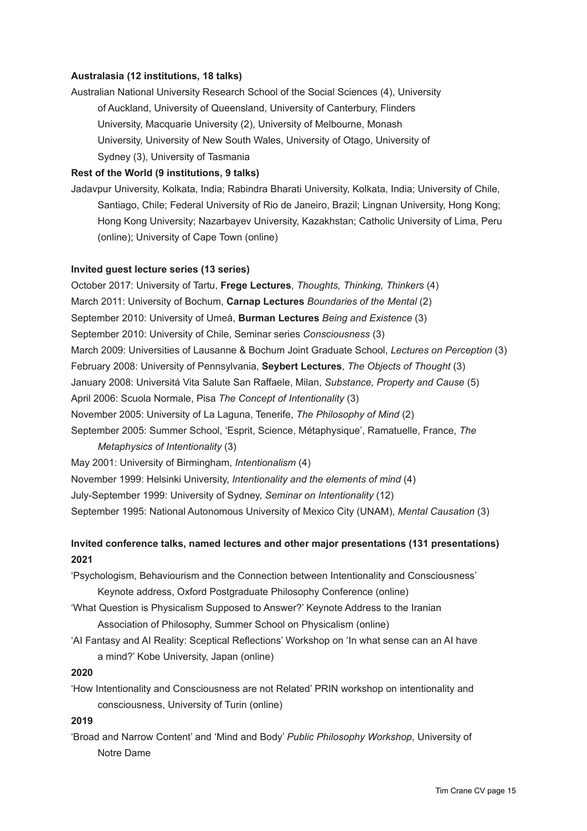## **Australasia (12 institutions, 18 talks)**

Australian National University Research School of the Social Sciences (4), University of Auckland, University of Queensland, University of Canterbury, Flinders University, Macquarie University (2), University of Melbourne, Monash University, University of New South Wales, University of Otago, University of Sydney (3), University of Tasmania

## **Rest of the World (9 institutions, 9 talks)**

Jadavpur University, Kolkata, India; Rabindra Bharati University, Kolkata, India; University of Chile, Santiago, Chile; Federal University of Rio de Janeiro, Brazil; Lingnan University, Hong Kong; Hong Kong University; Nazarbayev University, Kazakhstan; Catholic University of Lima, Peru (online); University of Cape Town (online)

### **Invited guest lecture series (13 series)**

October 2017: University of Tartu, **Frege Lectures**, *Thoughts, Thinking, Thinkers* (4) March 2011: University of Bochum, **Carnap Lectures** *Boundaries of the Mental* (2) September 2010: University of Umeå, **Burman Lectures** *Being and Existence* (3) September 2010: University of Chile, Seminar series *Consciousness* (3) March 2009: Universities of Lausanne & Bochum Joint Graduate School, *Lectures on Perception* (3) February 2008: University of Pennsylvania, **Seybert Lectures**, *The Objects of Thought* (3) January 2008: Universitá Vita Salute San Raffaele, Milan, *Substance, Property and Cause* (5) April 2006: Scuola Normale, Pisa *The Concept of Intentionality* (3) November 2005: University of La Laguna, Tenerife, *The Philosophy of Mind* (2) September 2005: Summer School, 'Esprit, Science, Métaphysique', Ramatuelle, France, *The Metaphysics of Intentionality* (3) May 2001: University of Birmingham, *Intentionalism* (4) November 1999: Helsinki University, *Intentionality and the elements of mind* (4)

July-September 1999: University of Sydney, *Seminar on Intentionality* (12)

September 1995: National Autonomous University of Mexico City (UNAM), *Mental Causation* (3)

## **Invited conference talks, named lectures and other major presentations (131 presentations) 2021**

'Psychologism, Behaviourism and the Connection between Intentionality and Consciousness' Keynote address, Oxford Postgraduate Philosophy Conference (online)

- 'What Question is Physicalism Supposed to Answer?' Keynote Address to the Iranian Association of Philosophy, Summer School on Physicalism (online)
- 'AI Fantasy and AI Reality: Sceptical Reflections' Workshop on 'In what sense can an AI have a mind?' Kobe University, Japan (online)

## **2020**

'How Intentionality and Consciousness are not Related' PRIN workshop on intentionality and consciousness, University of Turin (online)

## **2019**

'Broad and Narrow Content' and 'Mind and Body' *Public Philosophy Workshop*, University of Notre Dame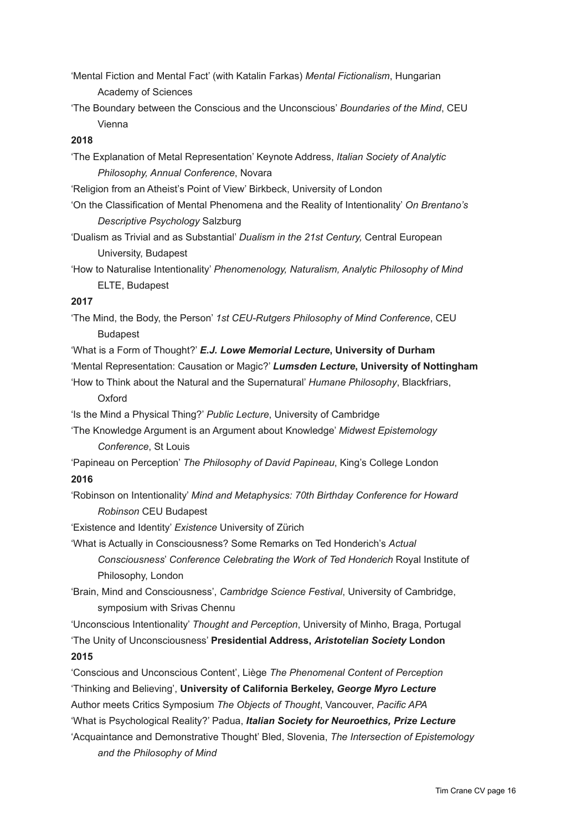- 'Mental Fiction and Mental Fact' (with Katalin Farkas) *Mental Fictionalism*, Hungarian Academy of Sciences
- 'The Boundary between the Conscious and the Unconscious' *Boundaries of the Mind*, CEU Vienna

## **2018**

'The Explanation of Metal Representation' Keynote Address, *Italian Society of Analytic Philosophy, Annual Conference*, Novara

'Religion from an Atheist's Point of View' Birkbeck, University of London

'On the Classification of Mental Phenomena and the Reality of Intentionality' *On Brentano's Descriptive Psychology* Salzburg

'Dualism as Trivial and as Substantial' *Dualism in the 21st Century,* Central European University, Budapest

'How to Naturalise Intentionality' *Phenomenology, Naturalism, Analytic Philosophy of Mind* ELTE, Budapest

## **2017**

'The Mind, the Body, the Person' *1st CEU-Rutgers Philosophy of Mind Conference*, CEU Budapest

'What is a Form of Thought?' *E.J. Lowe Memorial Lecture***, University of Durham** 'Mental Representation: Causation or Magic?' *Lumsden Lecture***, University of Nottingham**

'How to Think about the Natural and the Supernatural' *Humane Philosophy*, Blackfriars,

## **Oxford**

'Is the Mind a Physical Thing?' *Public Lecture*, University of Cambridge

'The Knowledge Argument is an Argument about Knowledge' *Midwest Epistemology Conference*, St Louis

'Papineau on Perception' *The Philosophy of David Papineau*, King's College London **2016**

'Robinson on Intentionality' *Mind and Metaphysics: 70th Birthday Conference for Howard Robinson* CEU Budapest

'Existence and Identity' *Existence* University of Zürich

'What is Actually in Consciousness? Some Remarks on Ted Honderich's *Actual Consciousness*' *Conference Celebrating the Work of Ted Honderich* Royal Institute of Philosophy, London

'Brain, Mind and Consciousness', *Cambridge Science Festival*, University of Cambridge, symposium with Srivas Chennu

'Unconscious Intentionality' *Thought and Perception*, University of Minho, Braga, Portugal 'The Unity of Unconsciousness' **Presidential Address,** *Aristotelian Society* **London 2015**

'Conscious and Unconscious Content', Liège *The Phenomenal Content of Perception* 'Thinking and Believing', **University of California Berkeley,** *George Myro Lecture*

Author meets Critics Symposium *The Objects of Thought*, Vancouver, *Pacific APA*

'What is Psychological Reality?' Padua, *Italian Society for Neuroethics, Prize Lecture*

'Acquaintance and Demonstrative Thought' Bled, Slovenia, *The Intersection of Epistemology and the Philosophy of Mind*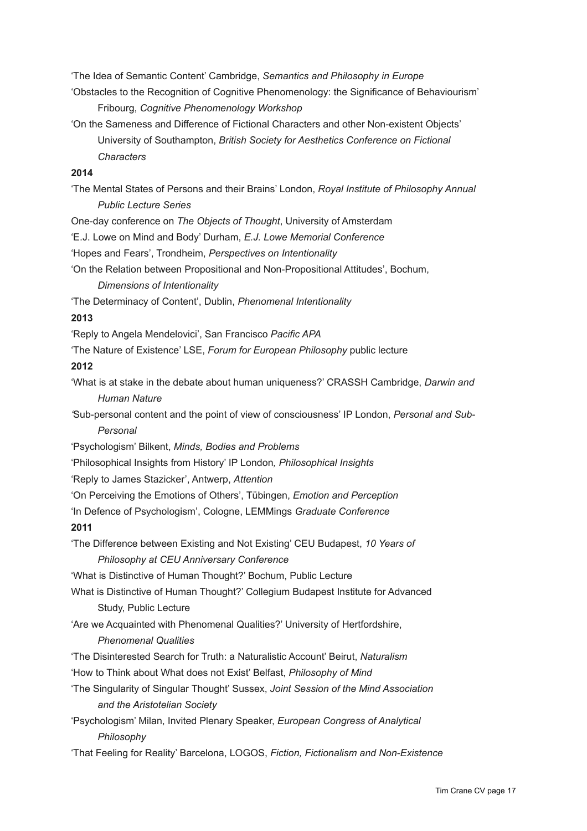'The Idea of Semantic Content' Cambridge, *Semantics and Philosophy in Europe*

'Obstacles to the Recognition of Cognitive Phenomenology: the Significance of Behaviourism' Fribourg, *Cognitive Phenomenology Workshop*

'On the Sameness and Difference of Fictional Characters and other Non-existent Objects' University of Southampton, *British Society for Aesthetics Conference on Fictional Characters*

## **2014**

'The Mental States of Persons and their Brains' London, *Royal Institute of Philosophy Annual Public Lecture Series*

One-day conference on *The Objects of Thought*, University of Amsterdam

'E.J. Lowe on Mind and Body' Durham, *E.J. Lowe Memorial Conference*

'Hopes and Fears', Trondheim, *Perspectives on Intentionality*

'On the Relation between Propositional and Non-Propositional Attitudes', Bochum,

*Dimensions of Intentionality*

'The Determinacy of Content', Dublin, *Phenomenal Intentionality*

### **2013**

'Reply to Angela Mendelovici', San Francisco *Pacific APA*

'The Nature of Existence' LSE, *Forum for European Philosophy* public lecture

## **2012**

'What is at stake in the debate about human uniqueness?' CRASSH Cambridge, *Darwin and Human Nature*

*'*Sub-personal content and the point of view of consciousness' IP London, *Personal and Sub-Personal*

'Psychologism' Bilkent, *Minds, Bodies and Problems*

'Philosophical Insights from History' IP London*, Philosophical Insights*

'Reply to James Stazicker', Antwerp, *Attention*

'On Perceiving the Emotions of Others', Tübingen, *Emotion and Perception*

'In Defence of Psychologism', Cologne, LEMMings *Graduate Conference*

## **2011**

'The Difference between Existing and Not Existing' CEU Budapest, *10 Years of Philosophy at CEU Anniversary Conference*

'What is Distinctive of Human Thought?' Bochum, Public Lecture

What is Distinctive of Human Thought?' Collegium Budapest Institute for Advanced Study, Public Lecture

'Are we Acquainted with Phenomenal Qualities?' University of Hertfordshire,

## *Phenomenal Qualities*

- 'The Disinterested Search for Truth: a Naturalistic Account' Beirut, *Naturalism*
- 'How to Think about What does not Exist' Belfast, *Philosophy of Mind*
- 'The Singularity of Singular Thought' Sussex, *Joint Session of the Mind Association and the Aristotelian Society*

'Psychologism' Milan, Invited Plenary Speaker, *European Congress of Analytical Philosophy* 

'That Feeling for Reality' Barcelona, LOGOS, *Fiction, Fictionalism and Non-Existence*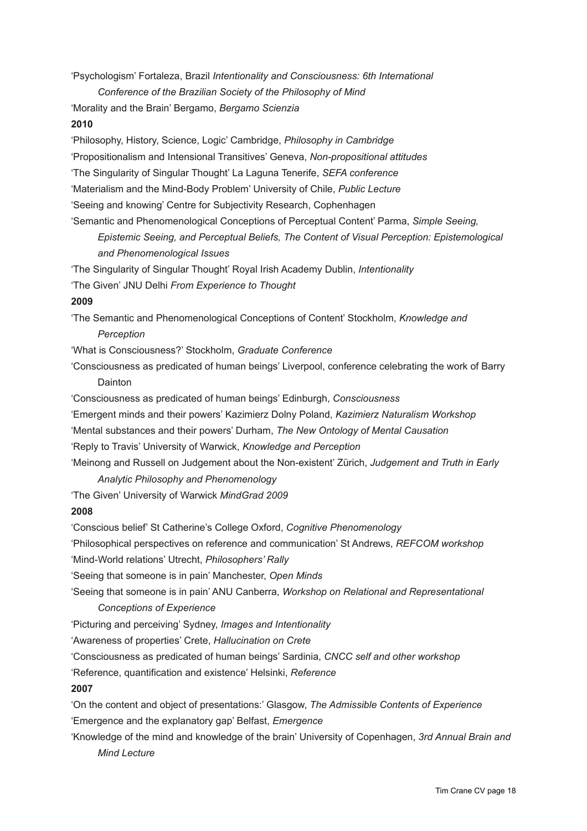'Psychologism' Fortaleza, Brazil *Intentionality and Consciousness: 6th International* 

*Conference of the Brazilian Society of the Philosophy of Mind*

'Morality and the Brain' Bergamo, *Bergamo Scienzia*

## **2010**

'Philosophy, History, Science, Logic' Cambridge, *Philosophy in Cambridge*

'Propositionalism and Intensional Transitives' Geneva, *Non-propositional attitudes*

'The Singularity of Singular Thought' La Laguna Tenerife, *SEFA conference*

'Materialism and the Mind-Body Problem' University of Chile, *Public Lecture*

'Seeing and knowing' Centre for Subjectivity Research, Cophenhagen

'Semantic and Phenomenological Conceptions of Perceptual Content' Parma, *Simple Seeing, Epistemic Seeing, and Perceptual Beliefs, The Content of Visual Perception: Epistemological and Phenomenological Issues*

'The Singularity of Singular Thought' Royal Irish Academy Dublin, *Intentionality*

'The Given' JNU Delhi *From Experience to Thought*

### **2009**

'The Semantic and Phenomenological Conceptions of Content' Stockholm, *Knowledge and Perception*

'What is Consciousness?' Stockholm, *Graduate Conference*

'Consciousness as predicated of human beings' Liverpool, conference celebrating the work of Barry Dainton

'Consciousness as predicated of human beings' Edinburgh, *Consciousness*

'Emergent minds and their powers' Kazimierz Dolny Poland, *Kazimierz Naturalism Workshop*

'Mental substances and their powers' Durham, *The New Ontology of Mental Causation*

'Reply to Travis' University of Warwick, *Knowledge and Perception*

'Meinong and Russell on Judgement about the Non-existent' Zürich, *Judgement and Truth in Early Analytic Philosophy and Phenomenology*

'The Given' University of Warwick *MindGrad 2009*

## **2008**

'Conscious belief' St Catherine's College Oxford, *Cognitive Phenomenology*

'Philosophical perspectives on reference and communication' St Andrews, *REFCOM workshop*

'Mind-World relations' Utrecht, *Philosophers' Rally*

'Seeing that someone is in pain' Manchester, *Open Minds*

'Seeing that someone is in pain' ANU Canberra, *Workshop on Relational and Representational Conceptions of Experience*

'Picturing and perceiving' Sydney, *Images and Intentionality*

'Awareness of properties' Crete, *Hallucination on Crete*

'Consciousness as predicated of human beings' Sardinia, *CNCC self and other workshop*

'Reference, quantification and existence' Helsinki, *Reference*

## **2007**

'On the content and object of presentations:' Glasgow, *The Admissible Contents of Experience* 'Emergence and the explanatory gap' Belfast, *Emergence*

'Knowledge of the mind and knowledge of the brain' University of Copenhagen, *3rd Annual Brain and Mind Lecture*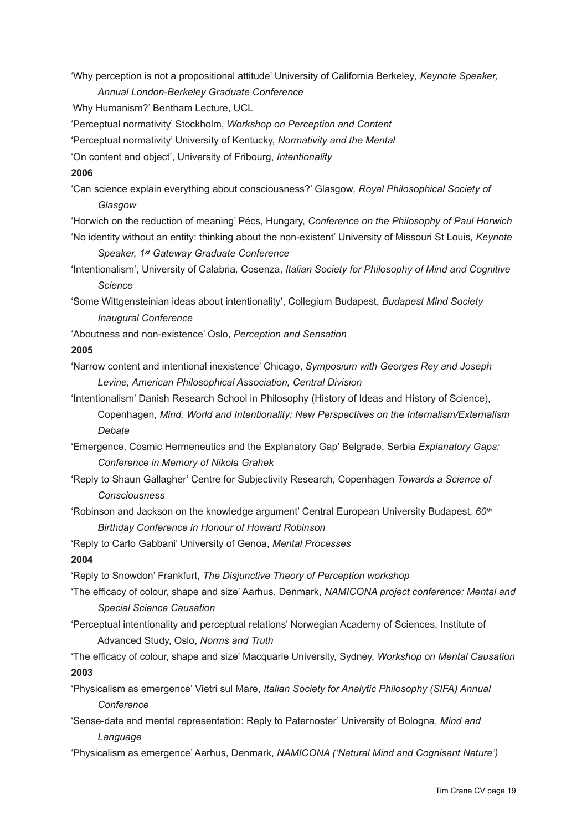'Why perception is not a propositional attitude' University of California Berkeley*, Keynote Speaker,* 

*Annual London-Berkeley Graduate Conference*

*'*Why Humanism?' Bentham Lecture, UCL

'Perceptual normativity' Stockholm, *Workshop on Perception and Content*

'Perceptual normativity' University of Kentucky, *Normativity and the Mental*

'On content and object', University of Fribourg, *Intentionality*

## **2006**

'Can science explain everything about consciousness?' Glasgow*, Royal Philosophical Society of Glasgow*

'Horwich on the reduction of meaning' Pécs, Hungary, *Conference on the Philosophy of Paul Horwich* 'No identity without an entity: thinking about the non-existent' University of Missouri St Louis*, Keynote* 

*Speaker, 1st Gateway Graduate Conference*

'Intentionalism', University of Calabria*,* Cosenza, *Italian Society for Philosophy of Mind and Cognitive Science*

'Some Wittgensteinian ideas about intentionality', Collegium Budapest, *Budapest Mind Society Inaugural Conference*

'Aboutness and non-existence' Oslo, *Perception and Sensation*

## **2005**

'Narrow content and intentional inexistence' Chicago, *Symposium with Georges Rey and Joseph Levine, American Philosophical Association, Central Division*

'Intentionalism' Danish Research School in Philosophy (History of Ideas and History of Science),

Copenhagen, *Mind, World and Intentionality: New Perspectives on the Internalism/Externalism Debate* 

'Emergence, Cosmic Hermeneutics and the Explanatory Gap' Belgrade, Serbia *Explanatory Gaps: Conference in Memory of Nikola Grahek*

- 'Reply to Shaun Gallagher' Centre for Subjectivity Research, Copenhagen *Towards a Science of Consciousness*
- 'Robinson and Jackson on the knowledge argument' Central European University Budapest*, 60th Birthday Conference in Honour of Howard Robinson*

'Reply to Carlo Gabbani' University of Genoa, *Mental Processes*

## **2004**

'Reply to Snowdon' Frankfurt, *The Disjunctive Theory of Perception workshop*

'The efficacy of colour, shape and size' Aarhus, Denmark, *NAMICONA project conference: Mental and Special Science Causation*

'Perceptual intentionality and perceptual relations' Norwegian Academy of Sciences, Institute of Advanced Study, Oslo, *Norms and Truth*

'The efficacy of colour, shape and size' Macquarie University, Sydney, *Workshop on Mental Causation* **2003**

'Physicalism as emergence' Vietri sul Mare, *Italian Society for Analytic Philosophy (SIFA) Annual Conference*

'Sense-data and mental representation: Reply to Paternoster' University of Bologna, *Mind and Language*

'Physicalism as emergence' Aarhus, Denmark, *NAMICONA ('Natural Mind and Cognisant Nature')*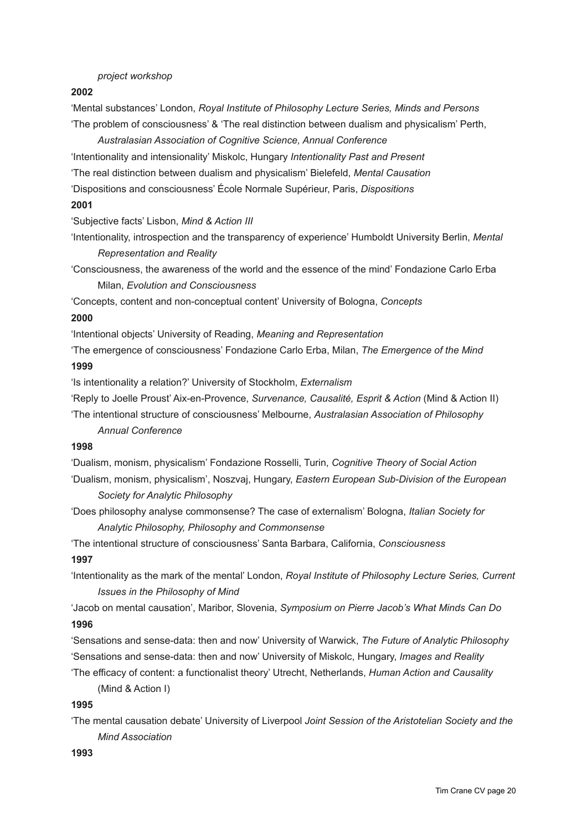### *project workshop*

### **2002**

'Mental substances' London, *Royal Institute of Philosophy Lecture Series, Minds and Persons* 'The problem of consciousness' & 'The real distinction between dualism and physicalism' Perth,

*Australasian Association of Cognitive Science, Annual Conference* 'Intentionality and intensionality' Miskolc, Hungary *Intentionality Past and Present* 'The real distinction between dualism and physicalism' Bielefeld, *Mental Causation*

'Dispositions and consciousness' École Normale Supérieur, Paris, *Dispositions*

#### **2001**

'Subjective facts' Lisbon, *Mind & Action III*

'Intentionality, introspection and the transparency of experience' Humboldt University Berlin, *Mental Representation and Reality*

'Consciousness, the awareness of the world and the essence of the mind' Fondazione Carlo Erba Milan, *Evolution and Consciousness*

'Concepts, content and non-conceptual content' University of Bologna, *Concepts*

### **2000**

'Intentional objects' University of Reading, *Meaning and Representation*

'The emergence of consciousness' Fondazione Carlo Erba, Milan, *The Emergence of the Mind* **1999**

'Is intentionality a relation?' University of Stockholm, *Externalism*

'Reply to Joelle Proust' Aix-en-Provence, *Survenance, Causalité, Esprit & Action* (Mind & Action II)

'The intentional structure of consciousness' Melbourne, *Australasian Association of Philosophy Annual Conference* 

### **1998**

'Dualism, monism, physicalism' Fondazione Rosselli, Turin, *Cognitive Theory of Social Action* 'Dualism, monism, physicalism', Noszvaj, Hungary, *Eastern European Sub-Division of the European Society for Analytic Philosophy*

'Does philosophy analyse commonsense? The case of externalism' Bologna, *Italian Society for Analytic Philosophy, Philosophy and Commonsense*

'The intentional structure of consciousness' Santa Barbara, California, *Consciousness* **1997**

'Intentionality as the mark of the mental' London, *Royal Institute of Philosophy Lecture Series, Current Issues in the Philosophy of Mind*

'Jacob on mental causation', Maribor, Slovenia, *Symposium on Pierre Jacob's What Minds Can Do*  **1996**

'Sensations and sense-data: then and now' University of Warwick, *The Future of Analytic Philosophy* 'Sensations and sense-data: then and now' University of Miskolc, Hungary, *Images and Reality*

'The efficacy of content: a functionalist theory' Utrecht, Netherlands, *Human Action and Causality* (Mind & Action I)

#### **1995**

'The mental causation debate' University of Liverpool *Joint Session of the Aristotelian Society and the Mind Association*

## **1993**